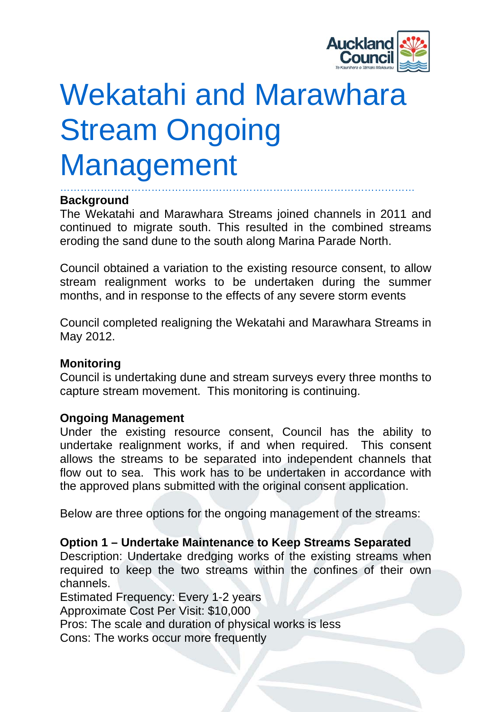

# Wekatahi and Marawhara Stream Ongoing Management

#### …………………………………………………………………………………………… **Background**

The Wekatahi and Marawhara Streams joined channels in 2011 and continued to migrate south. This resulted in the combined streams eroding the sand dune to the south along Marina Parade North.

Council obtained a variation to the existing resource consent, to allow stream realignment works to be undertaken during the summer months, and in response to the effects of any severe storm events

Council completed realigning the Wekatahi and Marawhara Streams in May 2012.

### **Monitoring**

Council is undertaking dune and stream surveys every three months to capture stream movement. This monitoring is continuing.

### **Ongoing Management**

Under the existing resource consent, Council has the ability to undertake realignment works, if and when required. This consent allows the streams to be separated into independent channels that flow out to sea. This work has to be undertaken in accordance with the approved plans submitted with the original consent application.

Below are three options for the ongoing management of the streams:

## **Option 1 – Undertake Maintenance to Keep Streams Separated**

Description: Undertake dredging works of the existing streams when required to keep the two streams within the confines of their own channels.

Estimated Frequency: Every 1-2 years

Approximate Cost Per Visit: \$10,000

Pros: The scale and duration of physical works is less

Cons: The works occur more frequently